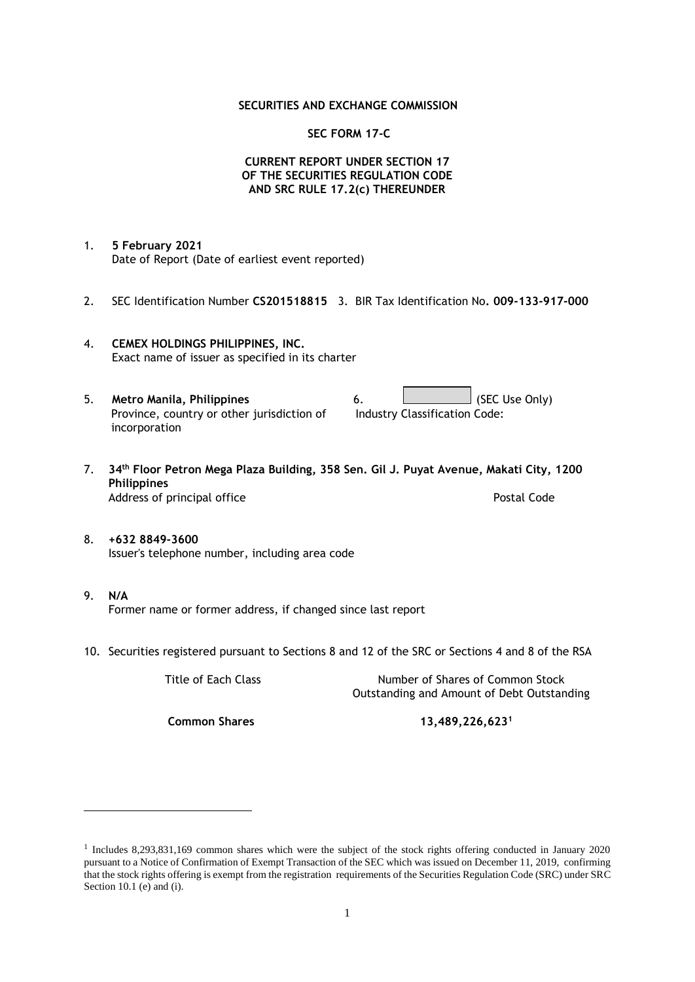## **SECURITIES AND EXCHANGE COMMISSION**

## **SEC FORM 17-C**

## **CURRENT REPORT UNDER SECTION 17 OF THE SECURITIES REGULATION CODE AND SRC RULE 17.2(c) THEREUNDER**

- 1. **5 February 2021** Date of Report (Date of earliest event reported)
- 2. SEC Identification Number **CS201518815** 3. BIR Tax Identification No**. 009-133-917-000**
- 4. **CEMEX HOLDINGS PHILIPPINES, INC.** Exact name of issuer as specified in its charter
- 5. **Metro Manila, Philippines** 6. **Consumers 6.** (SEC Use Only) Province, country or other jurisdiction of incorporation Industry Classification Code:
- 7. **34th Floor Petron Mega Plaza Building, 358 Sen. Gil J. Puyat Avenue, Makati City, 1200 Philippines** Address of principal office **Postal Code** Postal Code
- 8. **+632 8849-3600** Issuer's telephone number, including area code
- 9. **N/A** Former name or former address, if changed since last report
- 10. Securities registered pursuant to Sections 8 and 12 of the SRC or Sections 4 and 8 of the RSA

Title of Each Class Number of Shares of Common Stock Outstanding and Amount of Debt Outstanding

**Common Shares 13,489,226,623<sup>1</sup>**

<sup>1</sup> Includes 8,293,831,169 common shares which were the subject of the stock rights offering conducted in January 2020 pursuant to a Notice of Confirmation of Exempt Transaction of the SEC which was issued on December 11, 2019, confirming that the stock rights offering is exempt from the registration requirements of the Securities Regulation Code (SRC) under SRC Section 10.1 (e) and (i).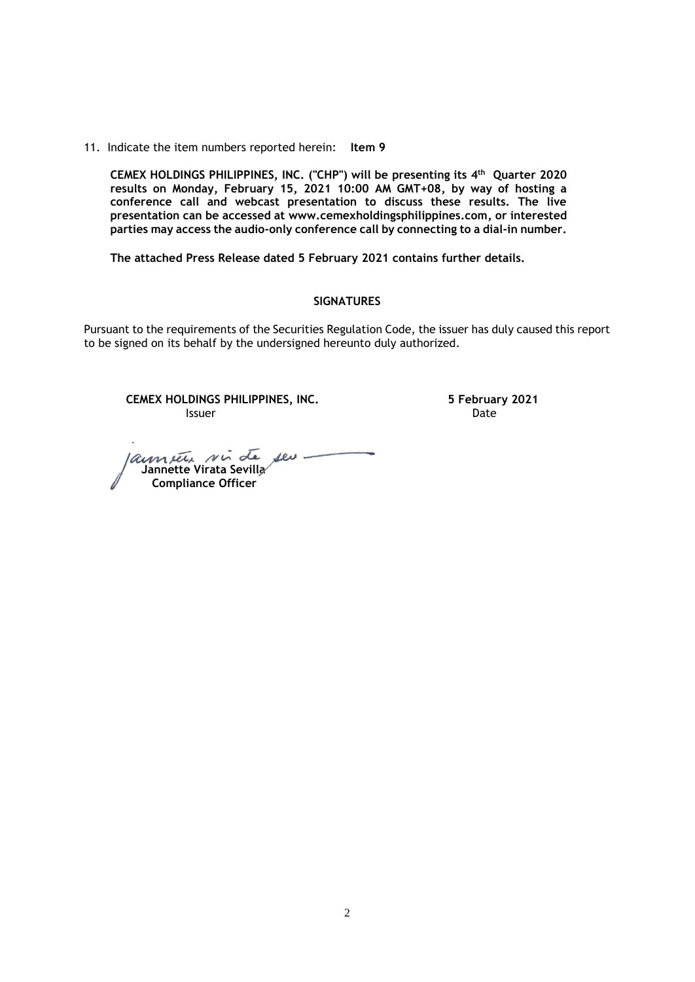11. Indicate the item numbers reported herein: **Item 9**

**CEMEX HOLDINGS PHILIPPINES, INC. ("CHP") will be presenting its 4 th Quarter 2020 results on Monday, February 15, 2021 10:00 AM GMT+08, by way of hosting a conference call and webcast presentation to discuss these results. The live presentation can be accessed at [www.cemexholdingsphilippines.com,](http://www.cemexholdingsphilippines.com/) or interested parties may access the audio-only conference call by connecting to a dial-in number.** 

**The attached Press Release dated 5 February 2021 contains further details.**

### **SIGNATURES**

Pursuant to the requirements of the Securities Regulation Code, the issuer has duly caused this report to be signed on its behalf by the undersigned hereunto duly authorized.

**CEMEX HOLDINGS PHILIPPINES, INC. 5 February 2021 Issuer Community Community Community** Community Community Community Community Community Community Community Comm

launier vir de seu  **Jannette Virata Sevilla Compliance Officer**